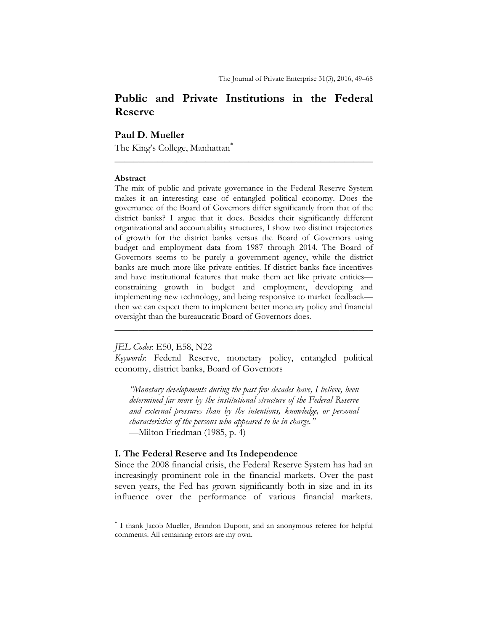# **Public and Private Institutions in the Federal Reserve**

**\_\_\_\_\_\_\_\_\_\_\_\_\_\_\_\_\_\_\_\_\_\_\_\_\_\_\_\_\_\_\_\_\_\_\_\_\_\_\_\_\_\_\_\_\_\_\_\_\_\_\_\_\_\_** 

## **Paul D. Mueller**

The King's College, Manhattan

#### **Abstract**

The mix of public and private governance in the Federal Reserve System makes it an interesting case of entangled political economy. Does the governance of the Board of Governors differ significantly from that of the district banks? I argue that it does. Besides their significantly different organizational and accountability structures, I show two distinct trajectories of growth for the district banks versus the Board of Governors using budget and employment data from 1987 through 2014. The Board of Governors seems to be purely a government agency, while the district banks are much more like private entities. If district banks face incentives and have institutional features that make them act like private entities constraining growth in budget and employment, developing and implementing new technology, and being responsive to market feedback then we can expect them to implement better monetary policy and financial oversight than the bureaucratic Board of Governors does.

### *JEL Codes*: E50, E58, N22

*Keywords*: Federal Reserve, monetary policy, entangled political economy, district banks, Board of Governors

**\_\_\_\_\_\_\_\_\_\_\_\_\_\_\_\_\_\_\_\_\_\_\_\_\_\_\_\_\_\_\_\_\_\_\_\_\_\_\_\_\_\_\_\_\_\_\_\_\_\_\_\_\_\_** 

*"Monetary developments during the past few decades have, I believe, been determined far more by the institutional structure of the Federal Reserve and external pressures than by the intentions, knowledge, or personal characteristics of the persons who appeared to be in charge."*  —Milton Friedman (1985, p. 4)

### **I. The Federal Reserve and Its Independence**

Since the 2008 financial crisis, the Federal Reserve System has had an increasingly prominent role in the financial markets. Over the past seven years, the Fed has grown significantly both in size and in its influence over the performance of various financial markets.

 I thank Jacob Mueller, Brandon Dupont, and an anonymous referee for helpful comments. All remaining errors are my own.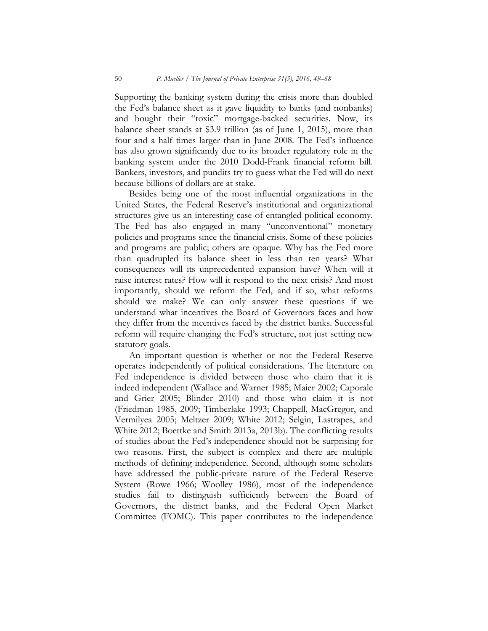Supporting the banking system during the crisis more than doubled the Fed's balance sheet as it gave liquidity to banks (and nonbanks) and bought their "toxic" mortgage-backed securities. Now, its balance sheet stands at \$3.9 trillion (as of June 1, 2015), more than four and a half times larger than in June 2008. The Fed's influence has also grown significantly due to its broader regulatory role in the banking system under the 2010 Dodd-Frank financial reform bill. Bankers, investors, and pundits try to guess what the Fed will do next because billions of dollars are at stake.

Besides being one of the most influential organizations in the United States, the Federal Reserve's institutional and organizational structures give us an interesting case of entangled political economy. The Fed has also engaged in many "unconventional" monetary policies and programs since the financial crisis. Some of these policies and programs are public; others are opaque. Why has the Fed more than quadrupled its balance sheet in less than ten years? What consequences will its unprecedented expansion have? When will it raise interest rates? How will it respond to the next crisis? And most importantly, should we reform the Fed, and if so, what reforms should we make? We can only answer these questions if we understand what incentives the Board of Governors faces and how they differ from the incentives faced by the district banks. Successful reform will require changing the Fed's structure, not just setting new statutory goals.

An important question is whether or not the Federal Reserve operates independently of political considerations. The literature on Fed independence is divided between those who claim that it is indeed independent (Wallace and Warner 1985; Maier 2002; Caporale and Grier 2005; Blinder 2010) and those who claim it is not (Friedman 1985, 2009; Timberlake 1993; Chappell, MacGregor, and Vermilyea 2005; Meltzer 2009; White 2012; Selgin, Lastrapes, and White 2012; Boettke and Smith 2013a, 2013b). The conflicting results of studies about the Fed's independence should not be surprising for two reasons. First, the subject is complex and there are multiple methods of defining independence. Second, although some scholars have addressed the public-private nature of the Federal Reserve System (Rowe 1966; Woolley 1986), most of the independence studies fail to distinguish sufficiently between the Board of Governors, the district banks, and the Federal Open Market Committee (FOMC). This paper contributes to the independence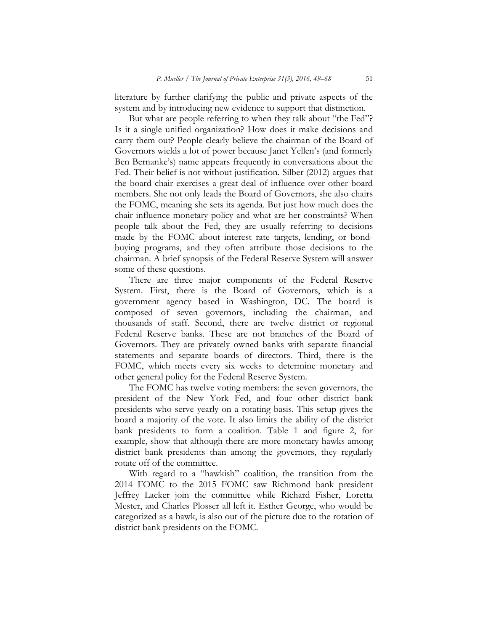literature by further clarifying the public and private aspects of the system and by introducing new evidence to support that distinction.

But what are people referring to when they talk about "the Fed"? Is it a single unified organization? How does it make decisions and carry them out? People clearly believe the chairman of the Board of Governors wields a lot of power because Janet Yellen's (and formerly Ben Bernanke's) name appears frequently in conversations about the Fed. Their belief is not without justification. Silber (2012) argues that the board chair exercises a great deal of influence over other board members. She not only leads the Board of Governors, she also chairs the FOMC, meaning she sets its agenda. But just how much does the chair influence monetary policy and what are her constraints? When people talk about the Fed, they are usually referring to decisions made by the FOMC about interest rate targets, lending, or bondbuying programs, and they often attribute those decisions to the chairman. A brief synopsis of the Federal Reserve System will answer some of these questions.

There are three major components of the Federal Reserve System. First, there is the Board of Governors, which is a government agency based in Washington, DC. The board is composed of seven governors, including the chairman, and thousands of staff. Second, there are twelve district or regional Federal Reserve banks. These are not branches of the Board of Governors. They are privately owned banks with separate financial statements and separate boards of directors. Third, there is the FOMC, which meets every six weeks to determine monetary and other general policy for the Federal Reserve System.

The FOMC has twelve voting members: the seven governors, the president of the New York Fed, and four other district bank presidents who serve yearly on a rotating basis. This setup gives the board a majority of the vote. It also limits the ability of the district bank presidents to form a coalition. Table 1 and figure 2, for example, show that although there are more monetary hawks among district bank presidents than among the governors, they regularly rotate off of the committee.

With regard to a "hawkish" coalition, the transition from the 2014 FOMC to the 2015 FOMC saw Richmond bank president Jeffrey Lacker join the committee while Richard Fisher, Loretta Mester, and Charles Plosser all left it. Esther George, who would be categorized as a hawk, is also out of the picture due to the rotation of district bank presidents on the FOMC.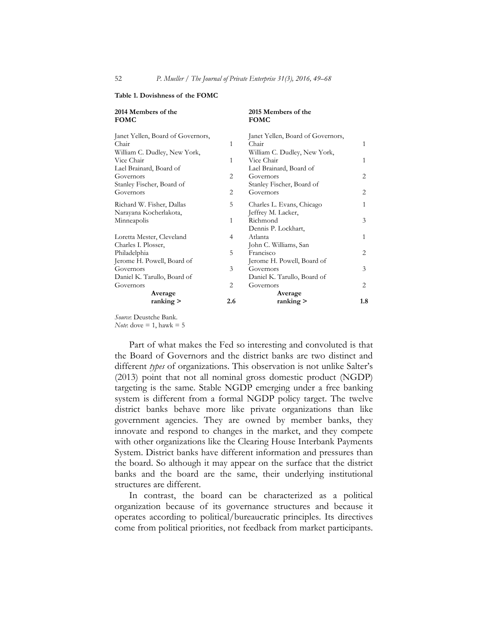**2015 Members of the** 

**FOMC** 

| T OINLO                           |                | T OMO                             |                |
|-----------------------------------|----------------|-----------------------------------|----------------|
| Janet Yellen, Board of Governors, |                | Janet Yellen, Board of Governors, |                |
| Chair                             | 1              | Chair                             | 1              |
| William C. Dudley, New York,      |                | William C. Dudley, New York,      |                |
| Vice Chair                        | 1              | Vice Chair                        | 1              |
| Lael Brainard, Board of           |                | Lael Brainard, Board of           |                |
| Governors                         | 2              | Governors                         | 2              |
| Stanley Fischer, Board of         |                | Stanley Fischer, Board of         |                |
| Governors                         | $\overline{2}$ | Governors                         | 2              |
| Richard W. Fisher, Dallas         | 5              | Charles L. Evans, Chicago         | 1              |
| Narayana Kocherlakota,            |                | Jeffrey M. Lacker,                |                |
| Minneapolis                       | 1              | Richmond                          | 3              |
|                                   |                | Dennis P. Lockhart,               |                |
| Loretta Mester, Cleveland         | 4              | Atlanta                           | 1              |
| Charles I. Plosser,               |                | John C. Williams, San             |                |
| Philadelphia                      | 5              | Francisco                         | 2              |
| Jerome H. Powell, Board of        |                | Jerome H. Powell, Board of        |                |
| Governors                         | 3              | Governors                         | 3              |
| Daniel K. Tarullo, Board of       |                | Daniel K. Tarullo, Board of       |                |
| Governors                         | $\overline{2}$ | Governors                         | $\overline{c}$ |
| Average                           |                | Average                           |                |
| ranking                           | 2.6            | ranking                           | 1.8            |
|                                   |                |                                   |                |

#### **Table 1. Dovishness of the FOMC**

**2014 Members of the** 

*Source*: Deustche Bank. *Note*: dove  $= 1$ , hawk  $= 5$ 

Part of what makes the Fed so interesting and convoluted is that the Board of Governors and the district banks are two distinct and different *types* of organizations. This observation is not unlike Salter's (2013) point that not all nominal gross domestic product (NGDP) targeting is the same. Stable NGDP emerging under a free banking system is different from a formal NGDP policy target. The twelve district banks behave more like private organizations than like government agencies. They are owned by member banks, they innovate and respond to changes in the market, and they compete with other organizations like the Clearing House Interbank Payments System. District banks have different information and pressures than the board. So although it may appear on the surface that the district banks and the board are the same, their underlying institutional structures are different.

In contrast, the board can be characterized as a political organization because of its governance structures and because it operates according to political/bureaucratic principles. Its directives come from political priorities, not feedback from market participants.

**FOMC**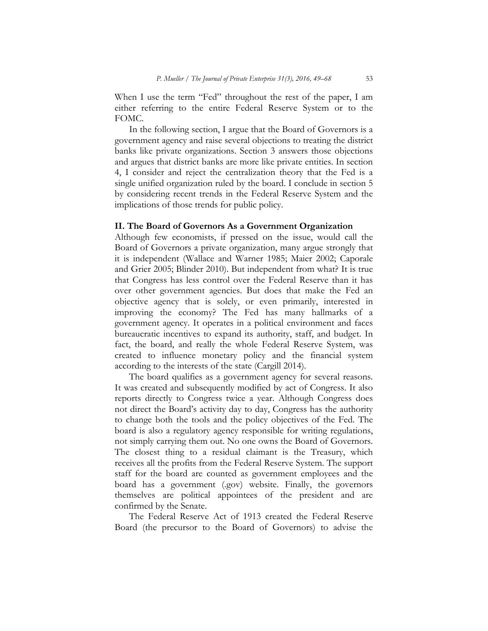When I use the term "Fed" throughout the rest of the paper, I am either referring to the entire Federal Reserve System or to the FOMC.

In the following section, I argue that the Board of Governors is a government agency and raise several objections to treating the district banks like private organizations. Section 3 answers those objections and argues that district banks are more like private entities. In section 4, I consider and reject the centralization theory that the Fed is a single unified organization ruled by the board. I conclude in section 5 by considering recent trends in the Federal Reserve System and the implications of those trends for public policy.

### **II. The Board of Governors As a Government Organization**

Although few economists, if pressed on the issue, would call the Board of Governors a private organization, many argue strongly that it is independent (Wallace and Warner 1985; Maier 2002; Caporale and Grier 2005; Blinder 2010). But independent from what? It is true that Congress has less control over the Federal Reserve than it has over other government agencies. But does that make the Fed an objective agency that is solely, or even primarily, interested in improving the economy? The Fed has many hallmarks of a government agency. It operates in a political environment and faces bureaucratic incentives to expand its authority, staff, and budget. In fact, the board, and really the whole Federal Reserve System, was created to influence monetary policy and the financial system according to the interests of the state (Cargill 2014).

The board qualifies as a government agency for several reasons. It was created and subsequently modified by act of Congress. It also reports directly to Congress twice a year. Although Congress does not direct the Board's activity day to day, Congress has the authority to change both the tools and the policy objectives of the Fed. The board is also a regulatory agency responsible for writing regulations, not simply carrying them out. No one owns the Board of Governors. The closest thing to a residual claimant is the Treasury, which receives all the profits from the Federal Reserve System. The support staff for the board are counted as government employees and the board has a government (.gov) website. Finally, the governors themselves are political appointees of the president and are confirmed by the Senate.

The Federal Reserve Act of 1913 created the Federal Reserve Board (the precursor to the Board of Governors) to advise the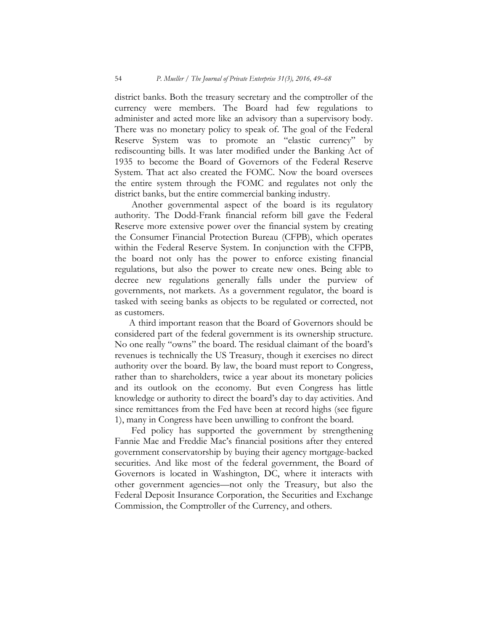district banks. Both the treasury secretary and the comptroller of the currency were members. The Board had few regulations to administer and acted more like an advisory than a supervisory body. There was no monetary policy to speak of. The goal of the Federal Reserve System was to promote an "elastic currency" by rediscounting bills. It was later modified under the Banking Act of 1935 to become the Board of Governors of the Federal Reserve System. That act also created the FOMC. Now the board oversees the entire system through the FOMC and regulates not only the district banks, but the entire commercial banking industry.

 Another governmental aspect of the board is its regulatory authority. The Dodd-Frank financial reform bill gave the Federal Reserve more extensive power over the financial system by creating the Consumer Financial Protection Bureau (CFPB), which operates within the Federal Reserve System. In conjunction with the CFPB, the board not only has the power to enforce existing financial regulations, but also the power to create new ones. Being able to decree new regulations generally falls under the purview of governments, not markets. As a government regulator, the board is tasked with seeing banks as objects to be regulated or corrected, not as customers.

A third important reason that the Board of Governors should be considered part of the federal government is its ownership structure. No one really "owns" the board. The residual claimant of the board's revenues is technically the US Treasury, though it exercises no direct authority over the board. By law, the board must report to Congress, rather than to shareholders, twice a year about its monetary policies and its outlook on the economy. But even Congress has little knowledge or authority to direct the board's day to day activities. And since remittances from the Fed have been at record highs (see figure 1), many in Congress have been unwilling to confront the board.

Fed policy has supported the government by strengthening Fannie Mae and Freddie Mac's financial positions after they entered government conservatorship by buying their agency mortgage-backed securities. And like most of the federal government, the Board of Governors is located in Washington, DC, where it interacts with other government agencies—not only the Treasury, but also the Federal Deposit Insurance Corporation, the Securities and Exchange Commission, the Comptroller of the Currency, and others.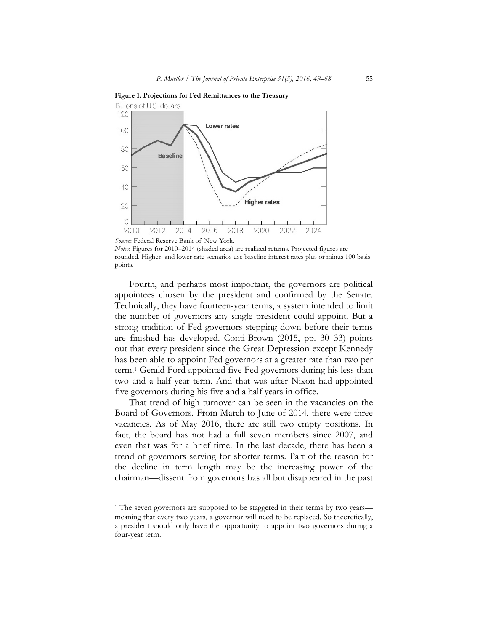

**Figure 1. Projections for Fed Remittances to the Treasury** 

Fourth, and perhaps most important, the governors are political appointees chosen by the president and confirmed by the Senate. Technically, they have fourteen-year terms, a system intended to limit the number of governors any single president could appoint. But a strong tradition of Fed governors stepping down before their terms are finished has developed. Conti-Brown (2015, pp. 30–33) points out that every president since the Great Depression except Kennedy has been able to appoint Fed governors at a greater rate than two per term.1 Gerald Ford appointed five Fed governors during his less than two and a half year term. And that was after Nixon had appointed five governors during his five and a half years in office.

That trend of high turnover can be seen in the vacancies on the Board of Governors. From March to June of 2014, there were three vacancies. As of May 2016, there are still two empty positions. In fact, the board has not had a full seven members since 2007, and even that was for a brief time. In the last decade, there has been a trend of governors serving for shorter terms. Part of the reason for the decline in term length may be the increasing power of the chairman—dissent from governors has all but disappeared in the past

*Source*: Federal Reserve Bank of New York. *Notes*: Figures for 2010–2014 (shaded area) are realized returns. Projected figures are rounded. Higher- and lower-rate scenarios use baseline interest rates plus or minus 100 basis points.

<sup>&</sup>lt;sup>1</sup> The seven governors are supposed to be staggered in their terms by two years meaning that every two years, a governor will need to be replaced. So theoretically, a president should only have the opportunity to appoint two governors during a four-year term.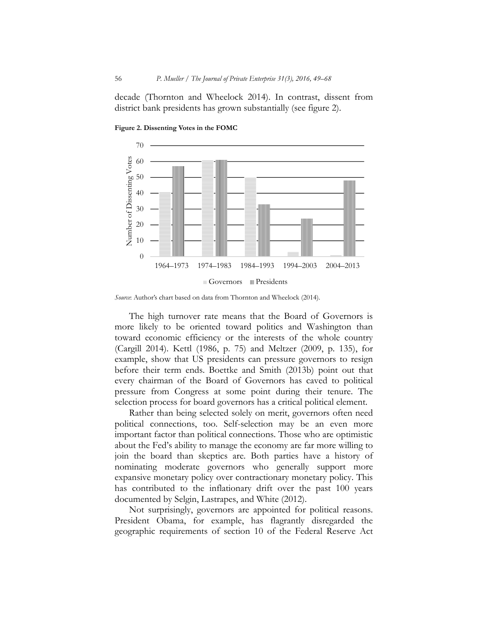decade (Thornton and Wheelock 2014). In contrast, dissent from district bank presidents has grown substantially (see figure 2).



**Figure 2. Dissenting Votes in the FOMC** 

*Source*: Author's chart based on data from Thornton and Wheelock (2014).

The high turnover rate means that the Board of Governors is more likely to be oriented toward politics and Washington than toward economic efficiency or the interests of the whole country (Cargill 2014). Kettl (1986, p. 75) and Meltzer (2009, p. 135), for example, show that US presidents can pressure governors to resign before their term ends. Boettke and Smith (2013b) point out that every chairman of the Board of Governors has caved to political pressure from Congress at some point during their tenure. The selection process for board governors has a critical political element.

Rather than being selected solely on merit, governors often need political connections, too. Self-selection may be an even more important factor than political connections. Those who are optimistic about the Fed's ability to manage the economy are far more willing to join the board than skeptics are. Both parties have a history of nominating moderate governors who generally support more expansive monetary policy over contractionary monetary policy. This has contributed to the inflationary drift over the past 100 years documented by Selgin, Lastrapes, and White (2012).

Not surprisingly, governors are appointed for political reasons. President Obama, for example, has flagrantly disregarded the geographic requirements of section 10 of the Federal Reserve Act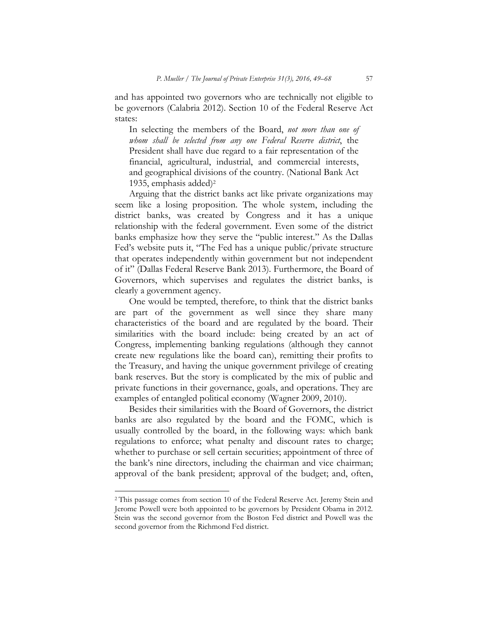and has appointed two governors who are technically not eligible to be governors (Calabria 2012). Section 10 of the Federal Reserve Act states:

In selecting the members of the Board, *not more than one of whom shall be selected from any one Federal Reserve district*, the President shall have due regard to a fair representation of the financial, agricultural, industrial, and commercial interests, and geographical divisions of the country. (National Bank Act 1935, emphasis added)2

Arguing that the district banks act like private organizations may seem like a losing proposition. The whole system, including the district banks, was created by Congress and it has a unique relationship with the federal government. Even some of the district banks emphasize how they serve the "public interest." As the Dallas Fed's website puts it, "The Fed has a unique public/private structure that operates independently within government but not independent of it" (Dallas Federal Reserve Bank 2013). Furthermore, the Board of Governors, which supervises and regulates the district banks, is clearly a government agency.

One would be tempted, therefore, to think that the district banks are part of the government as well since they share many characteristics of the board and are regulated by the board. Their similarities with the board include: being created by an act of Congress, implementing banking regulations (although they cannot create new regulations like the board can), remitting their profits to the Treasury, and having the unique government privilege of creating bank reserves. But the story is complicated by the mix of public and private functions in their governance, goals, and operations. They are examples of entangled political economy (Wagner 2009, 2010).

Besides their similarities with the Board of Governors, the district banks are also regulated by the board and the FOMC, which is usually controlled by the board, in the following ways: which bank regulations to enforce; what penalty and discount rates to charge; whether to purchase or sell certain securities; appointment of three of the bank's nine directors, including the chairman and vice chairman; approval of the bank president; approval of the budget; and, often,

<sup>&</sup>lt;sup>2</sup> This passage comes from section 10 of the Federal Reserve Act. Jeremy Stein and Jerome Powell were both appointed to be governors by President Obama in 2012. Stein was the second governor from the Boston Fed district and Powell was the second governor from the Richmond Fed district.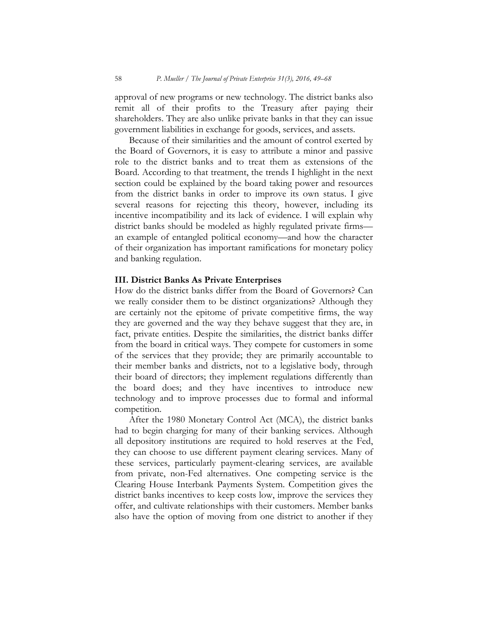approval of new programs or new technology. The district banks also remit all of their profits to the Treasury after paying their shareholders. They are also unlike private banks in that they can issue government liabilities in exchange for goods, services, and assets.

Because of their similarities and the amount of control exerted by the Board of Governors, it is easy to attribute a minor and passive role to the district banks and to treat them as extensions of the Board. According to that treatment, the trends I highlight in the next section could be explained by the board taking power and resources from the district banks in order to improve its own status. I give several reasons for rejecting this theory, however, including its incentive incompatibility and its lack of evidence. I will explain why district banks should be modeled as highly regulated private firms an example of entangled political economy—and how the character of their organization has important ramifications for monetary policy and banking regulation.

#### **III. District Banks As Private Enterprises**

How do the district banks differ from the Board of Governors? Can we really consider them to be distinct organizations? Although they are certainly not the epitome of private competitive firms, the way they are governed and the way they behave suggest that they are, in fact, private entities. Despite the similarities, the district banks differ from the board in critical ways. They compete for customers in some of the services that they provide; they are primarily accountable to their member banks and districts, not to a legislative body, through their board of directors; they implement regulations differently than the board does; and they have incentives to introduce new technology and to improve processes due to formal and informal competition.

After the 1980 Monetary Control Act (MCA), the district banks had to begin charging for many of their banking services. Although all depository institutions are required to hold reserves at the Fed, they can choose to use different payment clearing services. Many of these services, particularly payment-clearing services, are available from private, non-Fed alternatives. One competing service is the Clearing House Interbank Payments System. Competition gives the district banks incentives to keep costs low, improve the services they offer, and cultivate relationships with their customers. Member banks also have the option of moving from one district to another if they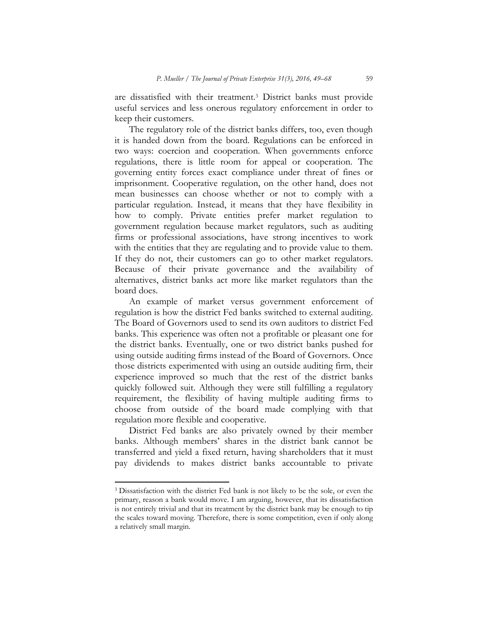are dissatisfied with their treatment.3 District banks must provide useful services and less onerous regulatory enforcement in order to keep their customers.

The regulatory role of the district banks differs, too, even though it is handed down from the board. Regulations can be enforced in two ways: coercion and cooperation. When governments enforce regulations, there is little room for appeal or cooperation. The governing entity forces exact compliance under threat of fines or imprisonment. Cooperative regulation, on the other hand, does not mean businesses can choose whether or not to comply with a particular regulation. Instead, it means that they have flexibility in how to comply. Private entities prefer market regulation to government regulation because market regulators, such as auditing firms or professional associations, have strong incentives to work with the entities that they are regulating and to provide value to them. If they do not, their customers can go to other market regulators. Because of their private governance and the availability of alternatives, district banks act more like market regulators than the board does.

An example of market versus government enforcement of regulation is how the district Fed banks switched to external auditing. The Board of Governors used to send its own auditors to district Fed banks. This experience was often not a profitable or pleasant one for the district banks. Eventually, one or two district banks pushed for using outside auditing firms instead of the Board of Governors. Once those districts experimented with using an outside auditing firm, their experience improved so much that the rest of the district banks quickly followed suit. Although they were still fulfilling a regulatory requirement, the flexibility of having multiple auditing firms to choose from outside of the board made complying with that regulation more flexible and cooperative.

District Fed banks are also privately owned by their member banks. Although members' shares in the district bank cannot be transferred and yield a fixed return, having shareholders that it must pay dividends to makes district banks accountable to private

<sup>3</sup> Dissatisfaction with the district Fed bank is not likely to be the sole, or even the primary, reason a bank would move. I am arguing, however, that its dissatisfaction is not entirely trivial and that its treatment by the district bank may be enough to tip the scales toward moving. Therefore, there is some competition, even if only along a relatively small margin.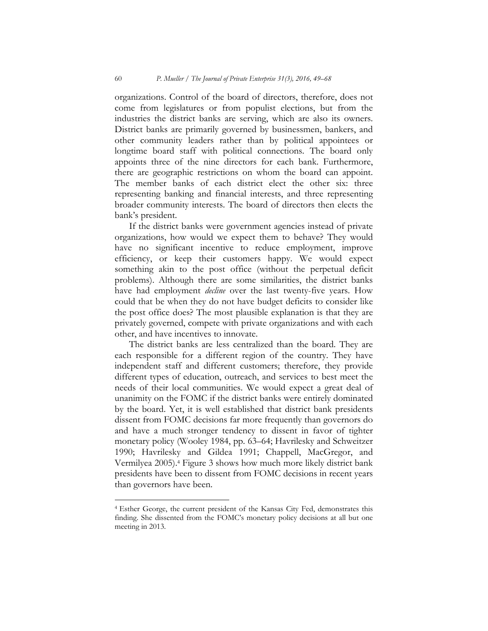organizations. Control of the board of directors, therefore, does not come from legislatures or from populist elections, but from the industries the district banks are serving, which are also its owners. District banks are primarily governed by businessmen, bankers, and other community leaders rather than by political appointees or longtime board staff with political connections. The board only appoints three of the nine directors for each bank. Furthermore, there are geographic restrictions on whom the board can appoint. The member banks of each district elect the other six: three representing banking and financial interests, and three representing broader community interests. The board of directors then elects the bank's president.

If the district banks were government agencies instead of private organizations, how would we expect them to behave? They would have no significant incentive to reduce employment, improve efficiency, or keep their customers happy. We would expect something akin to the post office (without the perpetual deficit problems). Although there are some similarities, the district banks have had employment *decline* over the last twenty-five years. How could that be when they do not have budget deficits to consider like the post office does? The most plausible explanation is that they are privately governed, compete with private organizations and with each other, and have incentives to innovate.

The district banks are less centralized than the board. They are each responsible for a different region of the country. They have independent staff and different customers; therefore, they provide different types of education, outreach, and services to best meet the needs of their local communities. We would expect a great deal of unanimity on the FOMC if the district banks were entirely dominated by the board. Yet, it is well established that district bank presidents dissent from FOMC decisions far more frequently than governors do and have a much stronger tendency to dissent in favor of tighter monetary policy (Wooley 1984, pp. 63–64; Havrilesky and Schweitzer 1990; Havrilesky and Gildea 1991; Chappell, MacGregor, and Vermilyea 2005).4 Figure 3 shows how much more likely district bank presidents have been to dissent from FOMC decisions in recent years than governors have been.

<sup>4</sup> Esther George, the current president of the Kansas City Fed, demonstrates this finding. She dissented from the FOMC's monetary policy decisions at all but one meeting in 2013.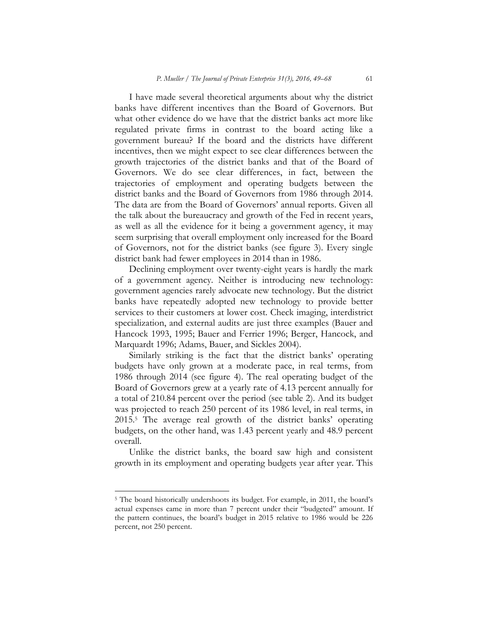I have made several theoretical arguments about why the district banks have different incentives than the Board of Governors. But what other evidence do we have that the district banks act more like regulated private firms in contrast to the board acting like a government bureau? If the board and the districts have different incentives, then we might expect to see clear differences between the growth trajectories of the district banks and that of the Board of Governors. We do see clear differences, in fact, between the trajectories of employment and operating budgets between the district banks and the Board of Governors from 1986 through 2014. The data are from the Board of Governors' annual reports. Given all the talk about the bureaucracy and growth of the Fed in recent years, as well as all the evidence for it being a government agency, it may seem surprising that overall employment only increased for the Board of Governors, not for the district banks (see figure 3). Every single district bank had fewer employees in 2014 than in 1986.

Declining employment over twenty-eight years is hardly the mark of a government agency. Neither is introducing new technology: government agencies rarely advocate new technology. But the district banks have repeatedly adopted new technology to provide better services to their customers at lower cost. Check imaging, interdistrict specialization, and external audits are just three examples (Bauer and Hancock 1993, 1995; Bauer and Ferrier 1996; Berger, Hancock, and Marquardt 1996; Adams, Bauer, and Sickles 2004).

Similarly striking is the fact that the district banks' operating budgets have only grown at a moderate pace, in real terms, from 1986 through 2014 (see figure 4). The real operating budget of the Board of Governors grew at a yearly rate of 4.13 percent annually for a total of 210.84 percent over the period (see table 2). And its budget was projected to reach 250 percent of its 1986 level, in real terms, in 2015.5 The average real growth of the district banks' operating budgets, on the other hand, was 1.43 percent yearly and 48.9 percent overall.

Unlike the district banks, the board saw high and consistent growth in its employment and operating budgets year after year. This

<sup>5</sup> The board historically undershoots its budget. For example, in 2011, the board's actual expenses came in more than 7 percent under their "budgeted" amount. If the pattern continues, the board's budget in 2015 relative to 1986 would be 226 percent, not 250 percent.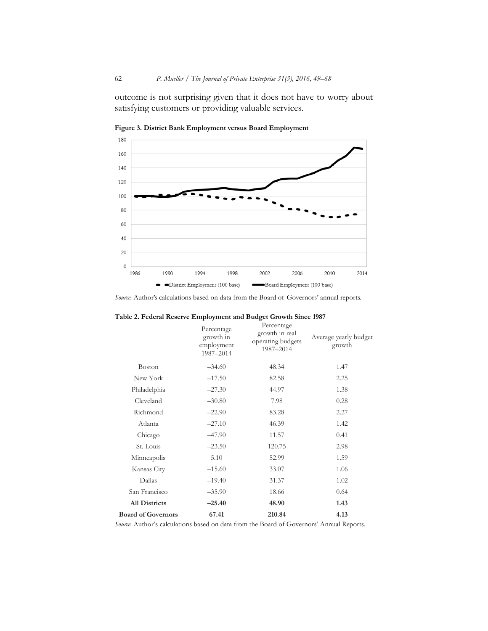outcome is not surprising given that it does not have to worry about satisfying customers or providing valuable services.



**Figure 3. District Bank Employment versus Board Employment** 

*Source*: Author's calculations based on data from the Board of Governors' annual reports.

|                           | Percentage<br>growth in<br>employment<br>1987-2014 | Percentage<br>growth in real<br>operating budgets<br>1987-2014 | Average yearly budget<br>growth |
|---------------------------|----------------------------------------------------|----------------------------------------------------------------|---------------------------------|
| <b>Boston</b>             | $-34.60$                                           | 48.34                                                          | 1.47                            |
| New York                  | $-17.50$                                           | 82.58                                                          | 2.25                            |
| Philadelphia              | $-27.30$                                           | 44.97                                                          | 1.38                            |
| Cleveland                 | $-30.80$                                           | 7.98                                                           | 0.28                            |
| Richmond                  | $-22.90$                                           | 83.28                                                          | 2.27                            |
| Atlanta                   | $-27.10$                                           | 46.39                                                          | 1.42                            |
| Chicago                   | $-47.90$                                           | 11.57                                                          | 0.41                            |
| St. Louis                 | $-23.50$                                           | 120.75                                                         | 2.98                            |
| Minneapolis               | 5.10                                               | 52.99                                                          | 1.59                            |
| Kansas City               | $-15.60$                                           | 33.07                                                          | 1.06                            |
| Dallas                    | $-19.40$                                           | 31.37                                                          | 1.02                            |
| San Francisco             | $-35.90$                                           | 18.66                                                          | 0.64                            |
| <b>All Districts</b>      | $-25.40$                                           | 48.90                                                          | 1.43                            |
| <b>Board of Governors</b> | 67.41                                              | 210.84                                                         | 4.13                            |

**Table 2. Federal Reserve Employment and Budget Growth Since 1987** 

*Source*: Author's calculations based on data from the Board of Governors' Annual Reports.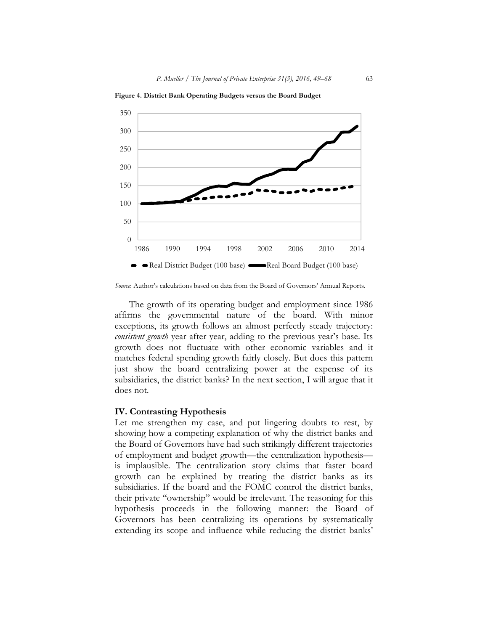

**Figure 4. District Bank Operating Budgets versus the Board Budget** 

*Source*: Author's calculations based on data from the Board of Governors' Annual Reports.

The growth of its operating budget and employment since 1986 affirms the governmental nature of the board. With minor exceptions, its growth follows an almost perfectly steady trajectory: *consistent growth* year after year, adding to the previous year's base. Its growth does not fluctuate with other economic variables and it matches federal spending growth fairly closely. But does this pattern just show the board centralizing power at the expense of its subsidiaries, the district banks? In the next section, I will argue that it does not.

#### **IV. Contrasting Hypothesis**

Let me strengthen my case, and put lingering doubts to rest, by showing how a competing explanation of why the district banks and the Board of Governors have had such strikingly different trajectories of employment and budget growth—the centralization hypothesis is implausible. The centralization story claims that faster board growth can be explained by treating the district banks as its subsidiaries. If the board and the FOMC control the district banks, their private "ownership" would be irrelevant. The reasoning for this hypothesis proceeds in the following manner: the Board of Governors has been centralizing its operations by systematically extending its scope and influence while reducing the district banks'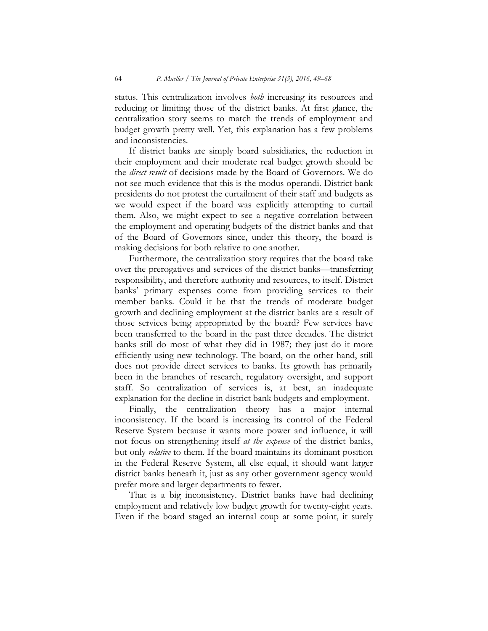status. This centralization involves *both* increasing its resources and reducing or limiting those of the district banks. At first glance, the centralization story seems to match the trends of employment and budget growth pretty well. Yet, this explanation has a few problems and inconsistencies.

If district banks are simply board subsidiaries, the reduction in their employment and their moderate real budget growth should be the *direct result* of decisions made by the Board of Governors. We do not see much evidence that this is the modus operandi. District bank presidents do not protest the curtailment of their staff and budgets as we would expect if the board was explicitly attempting to curtail them. Also, we might expect to see a negative correlation between the employment and operating budgets of the district banks and that of the Board of Governors since, under this theory, the board is making decisions for both relative to one another.

Furthermore, the centralization story requires that the board take over the prerogatives and services of the district banks—transferring responsibility, and therefore authority and resources, to itself. District banks' primary expenses come from providing services to their member banks. Could it be that the trends of moderate budget growth and declining employment at the district banks are a result of those services being appropriated by the board? Few services have been transferred to the board in the past three decades. The district banks still do most of what they did in 1987; they just do it more efficiently using new technology. The board, on the other hand, still does not provide direct services to banks. Its growth has primarily been in the branches of research, regulatory oversight, and support staff. So centralization of services is, at best, an inadequate explanation for the decline in district bank budgets and employment.

Finally, the centralization theory has a major internal inconsistency. If the board is increasing its control of the Federal Reserve System because it wants more power and influence, it will not focus on strengthening itself *at the expense* of the district banks, but only *relative* to them. If the board maintains its dominant position in the Federal Reserve System, all else equal, it should want larger district banks beneath it, just as any other government agency would prefer more and larger departments to fewer.

That is a big inconsistency. District banks have had declining employment and relatively low budget growth for twenty-eight years. Even if the board staged an internal coup at some point, it surely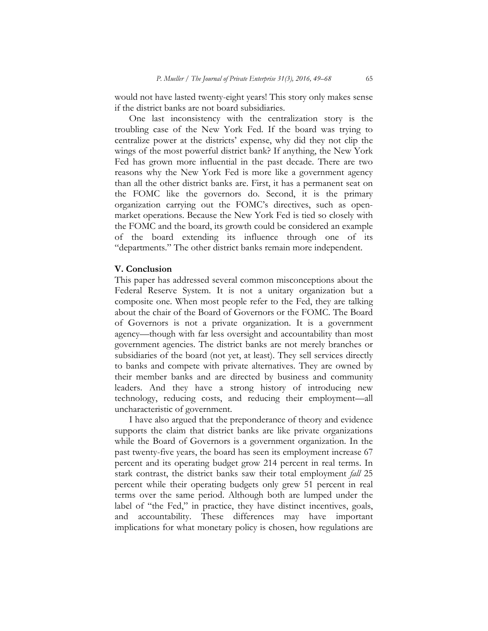would not have lasted twenty-eight years! This story only makes sense if the district banks are not board subsidiaries.

One last inconsistency with the centralization story is the troubling case of the New York Fed. If the board was trying to centralize power at the districts' expense, why did they not clip the wings of the most powerful district bank? If anything, the New York Fed has grown more influential in the past decade. There are two reasons why the New York Fed is more like a government agency than all the other district banks are. First, it has a permanent seat on the FOMC like the governors do. Second, it is the primary organization carrying out the FOMC's directives, such as openmarket operations. Because the New York Fed is tied so closely with the FOMC and the board, its growth could be considered an example of the board extending its influence through one of its "departments." The other district banks remain more independent.

#### **V. Conclusion**

This paper has addressed several common misconceptions about the Federal Reserve System. It is not a unitary organization but a composite one. When most people refer to the Fed, they are talking about the chair of the Board of Governors or the FOMC. The Board of Governors is not a private organization. It is a government agency—though with far less oversight and accountability than most government agencies. The district banks are not merely branches or subsidiaries of the board (not yet, at least). They sell services directly to banks and compete with private alternatives. They are owned by their member banks and are directed by business and community leaders. And they have a strong history of introducing new technology, reducing costs, and reducing their employment—all uncharacteristic of government.

I have also argued that the preponderance of theory and evidence supports the claim that district banks are like private organizations while the Board of Governors is a government organization. In the past twenty-five years, the board has seen its employment increase 67 percent and its operating budget grow 214 percent in real terms. In stark contrast, the district banks saw their total employment *fall* 25 percent while their operating budgets only grew 51 percent in real terms over the same period. Although both are lumped under the label of "the Fed," in practice, they have distinct incentives, goals, and accountability. These differences may have important implications for what monetary policy is chosen, how regulations are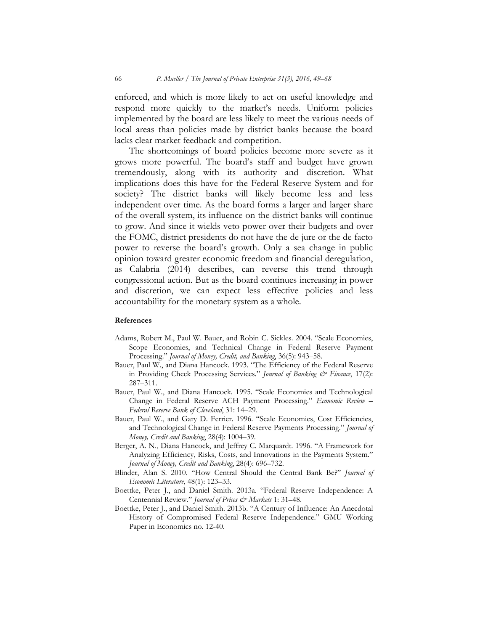enforced, and which is more likely to act on useful knowledge and respond more quickly to the market's needs. Uniform policies implemented by the board are less likely to meet the various needs of local areas than policies made by district banks because the board lacks clear market feedback and competition.

The shortcomings of board policies become more severe as it grows more powerful. The board's staff and budget have grown tremendously, along with its authority and discretion. What implications does this have for the Federal Reserve System and for society? The district banks will likely become less and less independent over time. As the board forms a larger and larger share of the overall system, its influence on the district banks will continue to grow. And since it wields veto power over their budgets and over the FOMC, district presidents do not have the de jure or the de facto power to reverse the board's growth. Only a sea change in public opinion toward greater economic freedom and financial deregulation, as Calabria (2014) describes, can reverse this trend through congressional action. But as the board continues increasing in power and discretion, we can expect less effective policies and less accountability for the monetary system as a whole.

#### **References**

- Adams, Robert M., Paul W. Bauer, and Robin C. Sickles. 2004. "Scale Economies, Scope Economies, and Technical Change in Federal Reserve Payment Processing." *Journal of Money, Credit, and Banking*, 36(5): 943–58.
- Bauer, Paul W., and Diana Hancock. 1993. "The Efficiency of the Federal Reserve in Providing Check Processing Services." *Journal of Banking & Finance*, 17(2): 287–311.
- Bauer, Paul W., and Diana Hancock. 1995. "Scale Economies and Technological Change in Federal Reserve ACH Payment Processing." *Economic Review – Federal Reserve Bank of Cleveland*, 31: 14–29.
- Bauer, Paul W., and Gary D. Ferrier. 1996. "Scale Economies, Cost Efficiencies, and Technological Change in Federal Reserve Payments Processing." *Journal of Money, Credit and Banking*, 28(4): 1004–39.
- Berger, A. N., Diana Hancock, and Jeffrey C. Marquardt. 1996. "A Framework for Analyzing Efficiency, Risks, Costs, and Innovations in the Payments System." *Journal of Money, Credit and Banking*, 28(4): 696–732.
- Blinder, Alan S. 2010. "How Central Should the Central Bank Be?" *Journal of Economic Literature*, 48(1): 123–33.
- Boettke, Peter J., and Daniel Smith. 2013a. "Federal Reserve Independence: A Centennial Review." *Journal of Prices & Markets* 1: 31–48.
- Boettke, Peter J., and Daniel Smith. 2013b. "A Century of Influence: An Anecdotal History of Compromised Federal Reserve Independence." GMU Working Paper in Economics no. 12-40.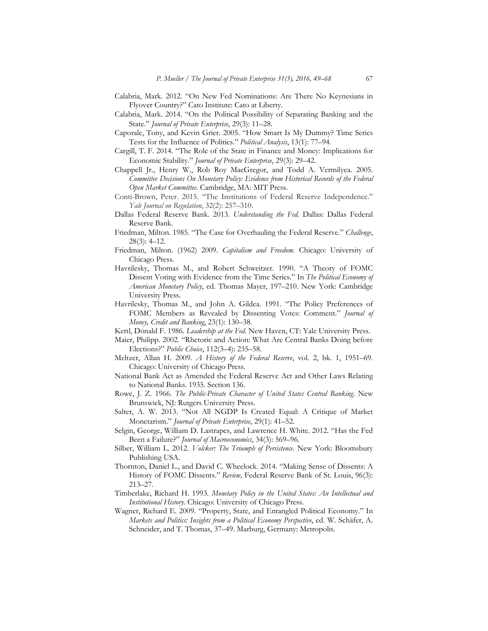- Calabria, Mark. 2012. "On New Fed Nominations: Are There No Keynesians in Flyover Country?" Cato Institute: Cato at Liberty.
- Calabria, Mark. 2014. "On the Political Possibility of Separating Banking and the State." *Journal of Private Enterprise*, 29(3): 11–28.
- Caporale, Tony, and Kevin Grier. 2005. "How Smart Is My Dummy? Time Series Tests for the Influence of Politics." *Political Analysis*, 13(1): 77–94.
- Cargill, T. F. 2014. "The Role of the State in Finance and Money: Implications for Economic Stability." *Journal of Private Enterprise*, 29(3): 29–42.
- Chappell Jr., Henry W., Rob Roy MacGregor, and Todd A. Vermilyea. 2005. *Committee Decisions On Monetary Policy: Evidence from Historical Records of the Federal Open Market Committee*. Cambridge, MA: MIT Press.
- Conti-Brown, Peter. 2015. "The Institutions of Federal Reserve Independence." *Yale Journal on Regulation*, 32(2): 257–310.
- Dallas Federal Reserve Bank. 2013. *Understanding the Fed.* Dallas: Dallas Federal Reserve Bank.
- Friedman, Milton. 1985. "The Case for Overhauling the Federal Reserve." *Challenge*, 28(3): 4–12.
- Friedman, Milton. (1962) 2009. *Capitalism and Freedom*. Chicago: University of Chicago Press.
- Havrilesky, Thomas M., and Robert Schweitzer. 1990. "A Theory of FOMC Dissent Voting with Evidence from the Time Series." In *The Political Economy of American Monetary Policy*, ed. Thomas Mayer, 197–210. New York: Cambridge University Press.
- Havrilesky, Thomas M., and John A. Gildea. 1991. "The Policy Preferences of FOMC Members as Revealed by Dissenting Votes: Comment." *Journal of Money, Credit and Banking*, 23(1): 130–38.
- Kettl, Donald F. 1986. *Leadership at the Fed*. New Haven, CT: Yale University Press.
- Maier, Philipp. 2002. "Rhetoric and Action: What Are Central Banks Doing before Elections?" *Public Choice*, 112(3–4): 235–58.
- Meltzer, Allan H. 2009. *A History of the Federal Reserve*, vol. 2, bk. 1, 1951–69. Chicago: University of Chicago Press.
- National Bank Act as Amended the Federal Reserve Act and Other Laws Relating to National Banks. 1935. Section 136.
- Rowe, J. Z. 1966. *The Public-Private Character of United States Central Banking*. New Brunswick, NJ: Rutgers University Press.
- Salter, A. W. 2013. "Not All NGDP Is Created Equal: A Critique of Market Monetarism." *Journal of Private Enterprise*, 29(1): 41–52.
- Selgin, George, William D. Lastrapes, and Lawrence H. White. 2012. "Has the Fed Been a Failure?" *Journal of Macroeconomics*, 34(3): 569–96.
- Silber, William L. 2012. *Volcker: The Triumph of Persistence*. New York: Bloomsbury Publishing USA.
- Thornton, Daniel L., and David C. Wheelock. 2014. "Making Sense of Dissents: A History of FOMC Dissents." *Review,* Federal Reserve Bank of St. Louis, 96(3): 213–27.
- Timberlake, Richard H. 1993. *Monetary Policy in the United States: An Intellectual and Institutional History*. Chicago: University of Chicago Press.
- Wagner, Richard E. 2009. "Property, State, and Entangled Political Economy." In *Markets and Politics: Insights from a Political Economy Perspective*, ed. W. Schäfer, A. Schneider, and T. Thomas, 37–49. Marburg, Germany: Metropolis.